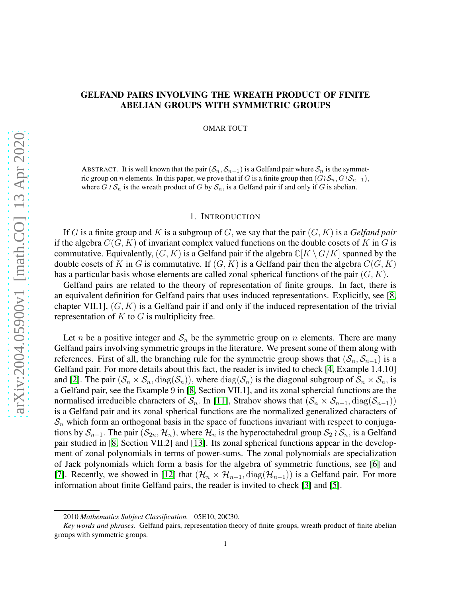# GELFAND PAIRS INVOLVING THE WREATH PRODUCT OF FINITE ABELIAN GROUPS WITH SYMMETRIC GROUPS

OMAR TOUT

ABSTRACT. It is well known that the pair  $(S_n, S_{n-1})$  is a Gelfand pair where  $S_n$  is the symmetric group on n elements. In this paper, we prove that if G is a finite group then  $(G\wr S_n, G\wr S_{n-1})$ , where  $G \wr S_n$  is the wreath product of G by  $S_n$ , is a Gelfand pair if and only if G is abelian.

### 1. INTRODUCTION

If G is a finite group and K is a subgroup of G, we say that the pair  $(G, K)$  is a *Gelfand pair* if the algebra  $C(G, K)$  of invariant complex valued functions on the double cosets of K in G is commutative. Equivalently,  $(G, K)$  is a Gelfand pair if the algebra  $\mathbb{C}[K \setminus G/K]$  spanned by the double cosets of K in G is commutative. If  $(G, K)$  is a Gelfand pair then the algebra  $C(G, K)$ has a particular basis whose elements are called zonal spherical functions of the pair  $(G, K)$ .

Gelfand pairs are related to the theory of representation of finite groups. In fact, there is an equivalent definition for Gelfand pairs that uses induced representations. Explicitly, see [\[8,](#page-5-0) chapter VII.1],  $(G, K)$  is a Gelfand pair if and only if the induced representation of the trivial representation of  $K$  to  $G$  is multiplicity free.

Let *n* be a positive integer and  $S_n$  be the symmetric group on *n* elements. There are many Gelfand pairs involving symmetric groups in the literature. We present some of them along with references. First of all, the branching rule for the symmetric group shows that  $(S_n, S_{n-1})$  is a Gelfand pair. For more details about this fact, the reader is invited to check [\[4,](#page-5-1) Example 1.4.10] and [\[2\]](#page-5-2). The pair  $(S_n \times S_n, diag(S_n))$ , where  $diag(S_n)$  is the diagonal subgroup of  $S_n \times S_n$ , is a Gelfand pair, see the Example 9 in [\[8,](#page-5-0) Section VII.1], and its zonal sphercial functions are the normalised irreducible characters of  $S_n$ . In [\[11\]](#page-5-3), Strahov shows that  $(S_n \times S_{n-1}, \text{diag}(S_{n-1}))$ is a Gelfand pair and its zonal spherical functions are the normalized generalized characters of  $S_n$  which form an orthogonal basis in the space of functions invariant with respect to conjugations by  $S_{n-1}$ . The pair  $(S_{2n}, \mathcal{H}_n)$ , where  $\mathcal{H}_n$  is the hyperoctahedral group  $S_2 \wr S_n$ , is a Gelfand pair studied in [\[8,](#page-5-0) Section VII.2] and [\[13\]](#page-5-4). Its zonal spherical functions appear in the development of zonal polynomials in terms of power-sums. The zonal polynomials are specialization of Jack polynomials which form a basis for the algebra of symmetric functions, see [\[6\]](#page-5-5) and [\[7\]](#page-5-6). Recently, we showed in [\[12\]](#page-5-7) that  $(\mathcal{H}_n \times \mathcal{H}_{n-1}, \text{diag}(\mathcal{H}_{n-1}))$  is a Gelfand pair. For more information about finite Gelfand pairs, the reader is invited to check [\[3\]](#page-5-8) and [\[5\]](#page-5-9).

<sup>2010</sup> *Mathematics Subject Classification.* 05E10, 20C30.

*Key words and phrases.* Gelfand pairs, representation theory of finite groups, wreath product of finite abelian groups with symmetric groups.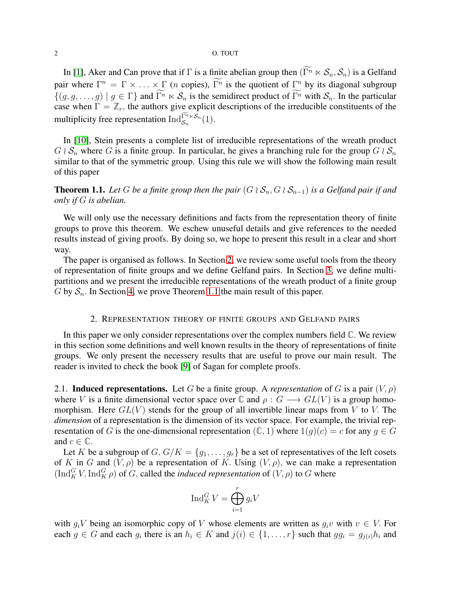## 2 O. TOUT

In [\[1\]](#page-5-10), Aker and Can prove that if  $\Gamma$  is a finite abelian group then  $(\widetilde{\Gamma^n} \ltimes \mathcal{S}_n, \mathcal{S}_n)$  is a Gelfand pair where  $\Gamma^n = \Gamma \times \ldots \times \Gamma$  (*n* copies),  $\Gamma^n$  is the quotient of  $\Gamma^n$  by its diagonal subgroup  $\{(g, g, \ldots, g) \mid g \in \Gamma\}$  and  $\widetilde{\Gamma^n} \ltimes \mathcal{S}_n$  is the semidirect product of  $\widetilde{\Gamma^n}$  with  $\mathcal{S}_n$ . In the particular case when  $\widetilde{\Gamma} = \mathbb{Z}_r$ , the authors give explicit descriptions of the irreducible constituents of the multiplicity free representation  $\overline{\mathrm{Ind}_{\mathcal{S}_n}^{\Gamma^n \ltimes \mathcal{S}_n}}(1)$ .

In [\[10\]](#page-5-11), Stein presents a complete list of irreducible representations of the wreath product  $G \wr S_n$  where G is a finite group. In particular, he gives a branching rule for the group  $G \wr S_n$ similar to that of the symmetric group. Using this rule we will show the following main result of this paper

<span id="page-1-1"></span>**Theorem 1.1.** Let G be a finite group then the pair  $(G \wr S_n, G \wr S_{n-1})$  is a Gelfand pair if and *only if* G *is abelian.*

We will only use the necessary definitions and facts from the representation theory of finite groups to prove this theorem. We eschew unuseful details and give references to the needed results instead of giving proofs. By doing so, we hope to present this result in a clear and short way.

The paper is organised as follows. In Section [2,](#page-1-0) we review some useful tools from the theory of representation of finite groups and we define Gelfand pairs. In Section [3,](#page-3-0) we define multipartitions and we present the irreducible representations of the wreath product of a finite group G by  $S_n$ . In Section [4,](#page-4-0) we prove Theorem [1.1](#page-1-1) the main result of this paper.

## 2. REPRESENTATION THEORY OF FINITE GROUPS AND GELFAND PAIRS

<span id="page-1-0"></span>In this paper we only consider representations over the complex numbers field **C**. We review in this section some definitions and well known results in the theory of representations of finite groups. We only present the necessery results that are useful to prove our main result. The reader is invited to check the book [\[9\]](#page-5-12) of Sagan for complete proofs.

2.1. **Induced representations.** Let G be a finite group. A *representation* of G is a pair  $(V, \rho)$ where V is a finite dimensional vector space over  $\mathbb C$  and  $\rho: G \longrightarrow GL(V)$  is a group homomorphism. Here  $GL(V)$  stends for the group of all invertible linear maps from V to V. The *dimension* of a representation is the dimension of its vector space. For example, the trivial representation of G is the one-dimensional representation  $(\mathbb{C}, 1)$  where  $1(g)(c) = c$  for any  $g \in G$ and  $c \in \mathbb{C}$ .

Let K be a subgroup of  $G, G/K = \{g_1, \ldots, g_r\}$  be a set of representatives of the left cosets of K in G and  $(V, \rho)$  be a representation of K. Using  $(V, \rho)$ , we can make a representation  $(\text{Ind}_{K}^{G} V, \text{Ind}_{K}^{G} \rho)$  of G, called the *induced representation* of  $(V, \rho)$  to G where

$$
\operatorname{Ind}_K^G V = \bigoplus_{i=1}^r g_i V
$$

with  $g_iV$  being an isomorphic copy of V whose elements are written as  $g_i v$  with  $v \in V$ . For each  $g \in G$  and each  $g_i$  there is an  $h_i \in K$  and  $j(i) \in \{1, ..., r\}$  such that  $gg_i = g_{j(i)}h_i$  and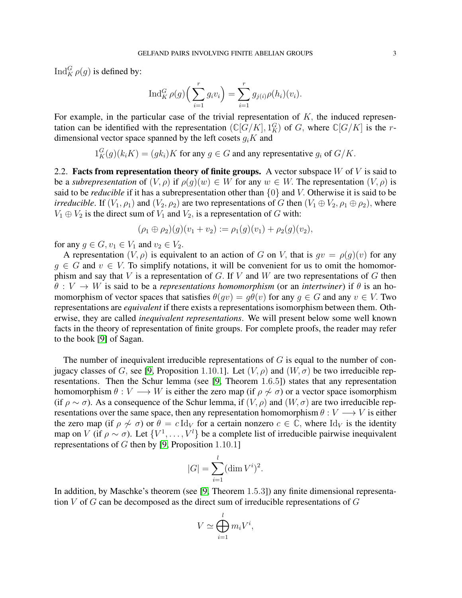$\operatorname{Ind}_{K}^{G}\rho(g)$  is defined by:

$$
\operatorname{Ind}_{K}^{G} \rho(g) \left( \sum_{i=1}^{r} g_{i} v_{i} \right) = \sum_{i=1}^{r} g_{j(i)} \rho(h_{i}) (v_{i}).
$$

For example, in the particular case of the trivial representation of  $K$ , the induced representation can be identified with the representation  $(\mathbb{C}[G/K], 1_K^G)$  of G, where  $\mathbb{C}[G/K]$  is the rdimensional vector space spanned by the left cosets  $q_iK$  and

 $1_K^G(g)(k_i K) = (g k_i) K$  for any  $g \in G$  and any representative  $g_i$  of  $G/K$ .

2.2. Facts from representation theory of finite groups. A vector subspace  $W$  of  $V$  is said to be a *subrepresentation* of  $(V, \rho)$  if  $\rho(g)(w) \in W$  for any  $w \in W$ . The representation  $(V, \rho)$  is said to be *reducible* if it has a subrepresentation other than {0} and V. Otherwise it is said to be *irreducible*. If  $(V_1, \rho_1)$  and  $(V_2, \rho_2)$  are two representations of G then  $(V_1 \oplus V_2, \rho_1 \oplus \rho_2)$ , where  $V_1 \oplus V_2$  is the direct sum of  $V_1$  and  $V_2$ , is a representation of G with:

$$
(\rho_1 \oplus \rho_2)(g)(v_1 + v_2) := \rho_1(g)(v_1) + \rho_2(g)(v_2),
$$

for any  $g \in G$ ,  $v_1 \in V_1$  and  $v_2 \in V_2$ .

A representation  $(V, \rho)$  is equivalent to an action of G on V, that is  $gv = \rho(g)(v)$  for any  $g \in G$  and  $v \in V$ . To simplify notations, it will be convenient for us to omit the homomorphism and say that V is a representation of G. If V and W are two representations of G then  $\theta: V \to W$  is said to be a *representations homomorphism* (or an *intertwiner*) if  $\theta$  is an homomorphism of vector spaces that satisfies  $\theta(qv) = q\theta(v)$  for any  $q \in G$  and any  $v \in V$ . Two representations are *equivalent* if there exists a representations isomorphism between them. Otherwise, they are called *inequivalent representations*. We will present below some well known facts in the theory of representation of finite groups. For complete proofs, the reader may refer to the book [\[9\]](#page-5-12) of Sagan.

The number of inequivalent irreducible representations of  $G$  is equal to the number of con-jugacy classes of G, see [\[9,](#page-5-12) Proposition 1.10.1]. Let  $(V, \rho)$  and  $(W, \sigma)$  be two irreducible representations. Then the Schur lemma (see [\[9,](#page-5-12) Theorem 1.6.5]) states that any representation homomorphism  $\theta : V \longrightarrow W$  is either the zero map (if  $\rho \nsim \sigma$ ) or a vector space isomorphism (if  $\rho \sim \sigma$ ). As a consequence of the Schur lemma, if  $(V, \rho)$  and  $(W, \sigma)$  are two irreducible representations over the same space, then any representation homomorphism  $\theta : V \longrightarrow V$  is either the zero map (if  $\rho \nsim \sigma$ ) or  $\theta = c \, \text{Id}_V$  for a certain nonzero  $c \in \mathbb{C}$ , where  $\text{Id}_V$  is the identity map on V (if  $\rho \sim \sigma$ ). Let  $\{V^1, \ldots, V^l\}$  be a complete list of irreducible pairwise inequivalent representations of  $G$  then by [\[9,](#page-5-12) Proposition 1.10.1]

$$
|G| = \sum_{i=1}^{l} (\dim V^i)^2.
$$

In addition, by Maschke's theorem (see [\[9,](#page-5-12) Theorem 1.5.3]) any finite dimensional representation  $V$  of  $G$  can be decomposed as the direct sum of irreducible representations of  $G$ 

$$
V \simeq \bigoplus_{i=1}^{l} m_i V^i,
$$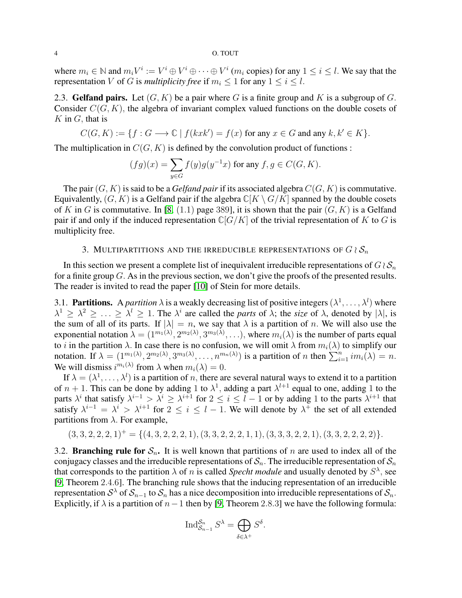#### 4 O. TOUT

where  $m_i \in \mathbb{N}$  and  $m_i V^i := V^i \oplus V^i \oplus \cdots \oplus V^i$  ( $m_i$  copies) for any  $1 \le i \le l$ . We say that the representation V of G is *multiplicity free* if  $m_i < 1$  for any  $1 \le i \le l$ .

2.3. Gelfand pairs. Let  $(G, K)$  be a pair where G is a finite group and K is a subgroup of G. Consider  $C(G, K)$ , the algebra of invariant complex valued functions on the double cosets of  $K$  in  $G$ , that is

$$
C(G, K) := \{ f : G \longrightarrow \mathbb{C} \mid f(kxk') = f(x) \text{ for any } x \in G \text{ and any } k, k' \in K \}.
$$

The multiplication in  $C(G, K)$  is defined by the convolution product of functions :

$$
(fg)(x) = \sum_{y \in G} f(y)g(y^{-1}x)
$$
 for any  $f, g \in C(G, K)$ .

The pair  $(G, K)$  is said to be a *Gelfand pair* if its associated algebra  $C(G, K)$  is commutative. Equivalently,  $(G, K)$  is a Gelfand pair if the algebra  $\mathbb{C}[K \setminus G/K]$  spanned by the double cosets of K in G is commutative. In [\[8,](#page-5-0) (1.1) page 389], it is shown that the pair  $(G, K)$  is a Gelfand pair if and only if the induced representation  $\mathbb{C}[G/K]$  of the trivial representation of K to G is multiplicity free.

# 3. MULTIPARTITIONS AND THE IRREDUCIBLE REPRESENTATIONS OF  $G \wr S_n$

<span id="page-3-0"></span>In this section we present a complete list of inequivalent irreducible representations of  $G \wr S_n$ for a finite group G. As in the previous section, we don't give the proofs of the presented results. The reader is invited to read the paper [\[10\]](#page-5-11) of Stein for more details.

3.1. **Partitions.** A *partition*  $\lambda$  is a weakly decreasing list of positive integers  $(\lambda^1, \dots, \lambda^l)$  where  $\lambda^1 \geq \lambda^2 \geq \ldots \geq \lambda^l \geq 1$ . The  $\lambda^i$  are called the *parts* of  $\lambda$ ; the *size* of  $\lambda$ , denoted by  $|\lambda|$ , is the sum of all of its parts. If  $|\lambda| = n$ , we say that  $\lambda$  is a partition of n. We will also use the exponential notation  $\lambda = (1^{m_1(\lambda)}, 2^{m_2(\lambda)}, 3^{m_3(\lambda)}, \ldots)$ , where  $m_i(\lambda)$  is the number of parts equal to i in the partition  $\lambda$ . In case there is no confusion, we will omit  $\lambda$  from  $m_i(\lambda)$  to simplify our notation. If  $\lambda = (1^{m_1(\lambda)}, 2^{m_2(\lambda)}, 3^{m_3(\lambda)}, \dots, n^{m_n(\lambda)})$  is a partition of n then  $\sum_{i=1}^n im_i(\lambda) = n$ . We will dismiss  $i^{m_i(\lambda)}$  from  $\lambda$  when  $m_i(\lambda) = 0$ .

If  $\lambda = (\lambda^1, \dots, \lambda^l)$  is a partition of n, there are several natural ways to extend it to a partition of  $n + 1$ . This can be done by adding 1 to  $\lambda^1$ , adding a part  $\lambda^{l+1}$  equal to one, adding 1 to the parts  $\lambda^i$  that satisfy  $\lambda^{i-1} > \lambda^i \ge \lambda^{i+1}$  for  $2 \le i \le l-1$  or by adding 1 to the parts  $\lambda^{i+1}$  that satisfy  $\lambda^{i-1} = \lambda^i > \lambda^{i+1}$  for  $2 \le i \le l-1$ . We will denote by  $\lambda^+$  the set of all extended partitions from  $\lambda$ . For example,

$$
(3,3,2,2,2,1)^+ = \{(4,3,2,2,2,1), (3,3,2,2,2,1,1), (3,3,3,2,2,1), (3,3,2,2,2,2)\}.
$$

3.2. **Branching rule for**  $S_n$ . It is well known that partitions of n are used to index all of the conjugacy classes and the irreducible representations of  $S_n$ . The irreducible representation of  $S_n$ that corresponds to the partition  $\lambda$  of n is called *Specht module* and usually denoted by  $S^{\lambda}$ , see [\[9,](#page-5-12) Theorem 2.4.6]. The branching rule shows that the inducing representation of an irreducible representation  $S^{\lambda}$  of  $S_{n-1}$  to  $S_n$  has a nice decomposition into irreducible representations of  $S_n$ . Explicitly, if  $\lambda$  is a partition of  $n-1$  then by [\[9,](#page-5-12) Theorem 2.8.3] we have the following formula:

$$
\operatorname{Ind}_{\mathcal{S}_{n-1}}^{\mathcal{S}_n} S^{\lambda} = \bigoplus_{\delta \in \lambda^+} S^{\delta}.
$$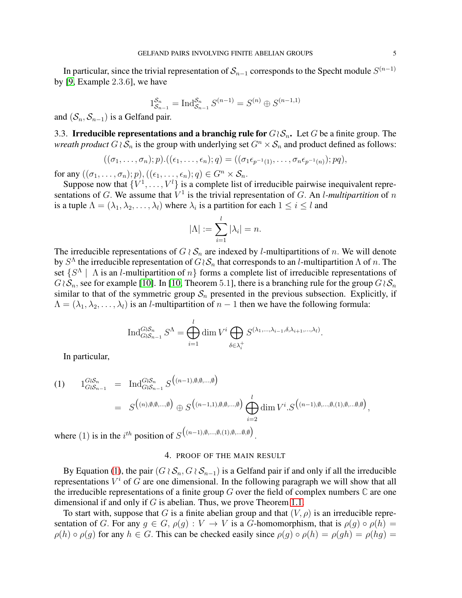In particular, since the trivial representation of  $\mathcal{S}_{n-1}$  corresponds to the Specht module  $S^{(n-1)}$ by [\[9,](#page-5-12) Example 2.3.6], we have

$$
1_{\mathcal{S}_{n-1}}^{\mathcal{S}_n} = \text{Ind}_{\mathcal{S}_{n-1}}^{\mathcal{S}_n} S^{(n-1)} = S^{(n)} \oplus S^{(n-1,1)}
$$

and  $(S_n, S_{n-1})$  is a Gelfand pair.

3.3. Irreducible representations and a branchig rule for  $G\wr S_n$ . Let G be a finite group. The *wreath product*  $G \wr S_n$  is the group with underlying set  $G^n \times S_n$  and product defined as follows:

$$
((\sigma_1,\ldots,\sigma_n);p).((\epsilon_1,\ldots,\epsilon_n);q)=((\sigma_1\epsilon_{p^{-1}(1)},\ldots,\sigma_n\epsilon_{p^{-1}(n)});pq),
$$

for any  $((\sigma_1, \ldots, \sigma_n); p), ((\epsilon_1, \ldots, \epsilon_n); q) \in G^n \times S_n$ .

Suppose now that  $\{V^1, \ldots, V^l\}$  is a complete list of irreducible pairwise inequivalent representations of G. We assume that  $V^1$  is the trivial representation of G. An *l-multipartition* of n is a tuple  $\Lambda = (\lambda_1, \lambda_2, \dots, \lambda_l)$  where  $\lambda_i$  is a partition for each  $1 \leq i \leq l$  and

$$
|\Lambda| := \sum_{i=1}^l |\lambda_i| = n.
$$

The irreducible representations of  $G \wr S_n$  are indexed by *l*-multipartitions of *n*. We will denote by  $S^{\Lambda}$  the irreducible representation of  $G\wr\mathcal{S}_n$  that corresponds to an l-multipartition  $\Lambda$  of  $n.$  The set  $\{S^{\Lambda} \mid \Lambda \text{ is an } l\text{-multipartition of } n\}$  forms a complete list of irreducible representations of  $G\wr S_n$ , see for example [\[10\]](#page-5-11). In [\[10,](#page-5-11) Theorem 5.1], there is a branching rule for the group  $G\wr S_n$ similar to that of the symmetric group  $S_n$  presented in the previous subsection. Explicitly, if  $\Lambda = (\lambda_1, \lambda_2, \dots, \lambda_l)$  is an *l*-multipartition of  $n-1$  then we have the following formula:

$$
\operatorname{Ind}_{G \wr S_{n-1}}^{G \wr S_n} S^{\Lambda} = \bigoplus_{i=1}^l \dim V^i \bigoplus_{\delta \in \lambda_i^+} S^{(\lambda_1, \ldots, \lambda_{i-1}, \delta, \lambda_{i+1}, \ldots, \lambda_l)}.
$$

In particular,

<span id="page-4-1"></span>(1) 
$$
1_{G \wr S_{n-1}}^{G \wr S_n} = \operatorname{Ind}_{G \wr S_{n-1}}^{G \wr S_n} S^{((n-1), \emptyset, \emptyset, \dots, \emptyset)}
$$
  
\n
$$
= S^{((n), \emptyset, \emptyset, \dots, \emptyset)} \oplus S^{((n-1,1), \emptyset, \emptyset, \dots, \emptyset)} \bigoplus_{i=2}^{l} \dim V^{i} \cdot S^{((n-1), \emptyset, \dots, \emptyset, (1), \emptyset, \dots, \emptyset, \emptyset)},
$$
  
\nwhere (1) is in the *i*<sup>th</sup> position of  $S^{((n-1), \emptyset, \dots, \emptyset, (1), \emptyset, \dots, \emptyset, \emptyset)}$ 

<span id="page-4-0"></span>where  $(1)$  is in the  $i^{th}$  position of S .

## 4. PROOF OF THE MAIN RESULT

By Equation [\(1\)](#page-4-1), the pair  $(G \wr S_n, G \wr S_{n-1})$  is a Gelfand pair if and only if all the irreducible representations  $V^i$  of G are one dimensional. In the following paragraph we will show that all the irreducible representations of a finite group G over the field of complex numbers **C** are one dimensional if and only if  $G$  is abelian. Thus, we prove Theorem [1.1.](#page-1-1)

To start with, suppose that G is a finite abelian group and that  $(V, \rho)$  is an irreducible representation of G. For any  $q \in G$ ,  $\rho(q) : V \to V$  is a G-homomorphism, that is  $\rho(q) \circ \rho(h) =$  $\rho(h) \circ \rho(g)$  for any  $h \in G$ . This can be checked easily since  $\rho(g) \circ \rho(h) = \rho(gh) = \rho(hg) =$